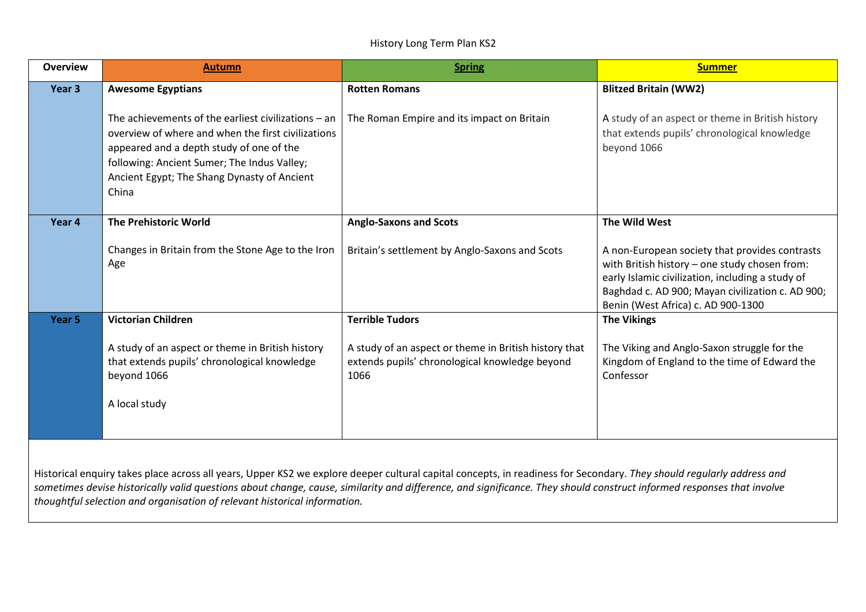| <b>Overview</b> | <b>Autumn</b>                                                                                                                                                                                                                                                  | <b>Spring</b>                                                                                                   | <b>Summer</b>                                                                                                                                                                                                                                 |  |  |
|-----------------|----------------------------------------------------------------------------------------------------------------------------------------------------------------------------------------------------------------------------------------------------------------|-----------------------------------------------------------------------------------------------------------------|-----------------------------------------------------------------------------------------------------------------------------------------------------------------------------------------------------------------------------------------------|--|--|
| Year 3          | <b>Awesome Egyptians</b>                                                                                                                                                                                                                                       | <b>Rotten Romans</b>                                                                                            | <b>Blitzed Britain (WW2)</b>                                                                                                                                                                                                                  |  |  |
|                 | The achievements of the earliest civilizations $-$ an<br>overview of where and when the first civilizations<br>appeared and a depth study of one of the<br>following: Ancient Sumer; The Indus Valley;<br>Ancient Egypt; The Shang Dynasty of Ancient<br>China | The Roman Empire and its impact on Britain                                                                      | A study of an aspect or theme in British history<br>that extends pupils' chronological knowledge<br>beyond 1066                                                                                                                               |  |  |
| Year 4          | <b>The Prehistoric World</b>                                                                                                                                                                                                                                   | <b>Anglo-Saxons and Scots</b>                                                                                   | The Wild West                                                                                                                                                                                                                                 |  |  |
|                 | Changes in Britain from the Stone Age to the Iron<br>Age                                                                                                                                                                                                       | Britain's settlement by Anglo-Saxons and Scots                                                                  | A non-European society that provides contrasts<br>with British history - one study chosen from:<br>early Islamic civilization, including a study of<br>Baghdad c. AD 900; Mayan civilization c. AD 900;<br>Benin (West Africa) c. AD 900-1300 |  |  |
| Year 5          | <b>Victorian Children</b>                                                                                                                                                                                                                                      | <b>Terrible Tudors</b>                                                                                          | <b>The Vikings</b>                                                                                                                                                                                                                            |  |  |
|                 | A study of an aspect or theme in British history<br>that extends pupils' chronological knowledge<br>beyond 1066<br>A local study                                                                                                                               | A study of an aspect or theme in British history that<br>extends pupils' chronological knowledge beyond<br>1066 | The Viking and Anglo-Saxon struggle for the<br>Kingdom of England to the time of Edward the<br>Confessor                                                                                                                                      |  |  |

Historical enquiry takes place across all years, Upper KS2 we explore deeper cultural capital concepts, in readiness for Secondary. *They should regularly address and sometimes devise historically valid questions about change, cause, similarity and difference, and significance. They should construct informed responses that involve thoughtful selection and organisation of relevant historical information.*